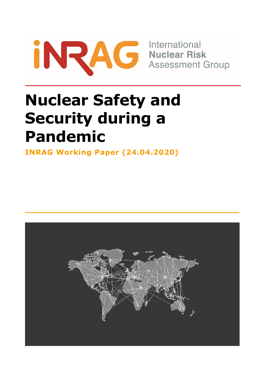

**Assessment Group** 

# **Nuclear Safety and Security during a Pandemic**

**INRAG Working Paper (24.04.2020)**

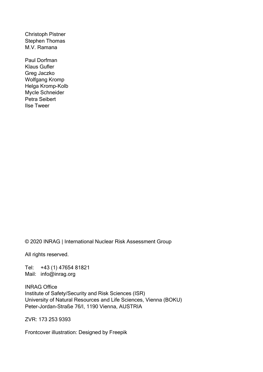Christoph Pistner Stephen Thomas M.V. Ramana

Paul Dorfman Klaus Gufler Greg Jaczko Wolfgang Kromp Helga Kromp-Kolb Mycle Schneider Petra Seibert Ilse Tweer

© 2020 INRAG | International Nuclear Risk Assessment Group

All rights reserved.

Tel: +43 (1) 47654 81821 Mail: info@inrag.org

INRAG Office Institute of Safety/Security and Risk Sciences (ISR) University of Natural Resources and Life Sciences, Vienna (BOKU) Peter-Jordan-Straße 76/I, 1190 Vienna, AUSTRIA

ZVR: 173 253 9393

Frontcover illustration: Designed by Freepik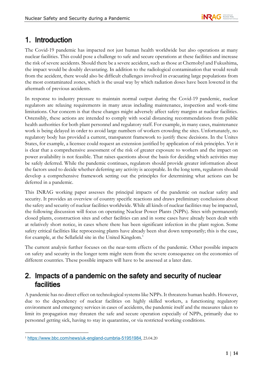# 1. Introduction

The Covid-19 pandemic has impacted not just human health worldwide but also operations at many nuclear facilities. This could pose a challenge to safe and secure operations at these facilities and increase the risk of severe accidents. Should there be a severe accident, such as those at Chernobyl and Fukushima, the impact would be doubly devastating. In addition to the radiological contamination that would result from the accident, there would also be difficult challenges involved in evacuating large populations from the most contaminated zones, which is the usual way by which radiation doses have been lowered in the aftermath of previous accidents.

In response to industry pressure to maintain normal output during the Covid-19 pandemic, nuclear regulators are relaxing requirements in many areas including maintenance, inspection and work-time limitations. Our concern is that these changes might adversely affect safety margins at nuclear facilities. Ostensibly, these actions are intended to comply with social distancing recommendations from public health authorities for both plant personnel and regulatory staff. For example, in many cases, maintenance work is being delayed in order to avoid large numbers of workers crowding the sites. Unfortunately, no regulatory body has provided a current, transparent framework to justify these decisions. In the Unites States, for example, a licensee could request an extension justified by application of risk principles. Yet it is clear that a comprehensive assessment of the risk of greater exposure to workers and the impact on power availability is not feasible. That raises questions about the basis for deciding which activities may be safely deferred. While the pandemic continues, regulators should provide greater information about the factors used to decide whether deferring any activity is acceptable. In the long term, regulators should develop a comprehensive framework setting out the principles for determining what actions can be deferred in a pandemic.

This INRAG working paper assesses the principal impacts of the pandemic on nuclear safety and security. It provides an overview of country specific reactions and draws preliminary conclusions about the safety and security of nuclear facilities worldwide. While all kinds of nuclear facilities may be impacted, the following discussion will focus on operating Nuclear Power Plants (NPPs). Sites with permanently closed plants, construction sites and other facilities can and in some cases have already been dealt with at relatively short notice, in cases where there has been significant infection in the plant region. Some safety critical facilities like reprocessing plants have already been shut down temporarily; this is the case, for example, at the Sellafield site in the United Kingdom. [1](#page-2-0)

The current analysis further focuses on the near-term effects of the pandemic. Other possible impacts on safety and security in the longer term might stem from the severe consequence on the economies of different countries. These possible impacts will have to be assessed at a later date.

# 2. Impacts of a pandemic on the safety and security of nuclear facilities

A pandemic has no direct effect on technological systems like NPPs. It threatens human health. However, due to the dependency of nuclear facilities on highly skilled workers, a functioning regulatory environment and emergency services in cases of accidents, the pandemic itself and the measures taken to limit its propagation may threaten the safe and secure operation especially of NPPs, primarily due to personnel getting sick, having to stay in quarantine, or via restricted working conditions.

<span id="page-2-0"></span><sup>1</sup> <https://www.bbc.com/news/uk-england-cumbria-51951984>, 23.04.20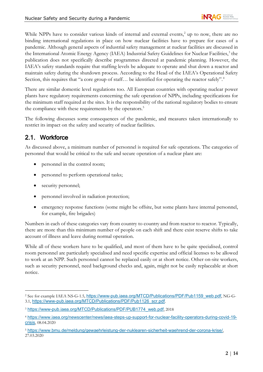While NPPs have to consider various kinds of internal and external events,<sup>[2](#page-3-0)</sup> up to now, there are no binding international regulations in place on how nuclear facilities have to prepare for cases of a pandemic. Although general aspects of industrial safety management at nuclear facilities are discussed in the International Atomic Energy Agency (IAEA) Industrial Safety Guidelines for Nuclear Facilities, [3](#page-3-1) the publication does not specifically describe programmes directed at pandemic planning. However, the IAEA's safety standards require that staffing levels be adequate to operate and shut down a reactor and maintain safety during the shutdown process. According to the Head of the IAEA's Operational Safety Section, this requires that "a core group of staff... be identified for operating the reactor safely".<sup>[4](#page-3-2)</sup>

There are similar domestic level regulations too. All European countries with operating nuclear power plants have regulatory requirements concerning the safe operation of NPPs, including specifications for the minimum staff required at the sites. It is the responsibility of the national regulatory bodies to ensure the compliance with these requirements by the operators.<sup>5</sup>

The following discusses some consequences of the pandemic, and measures taken internationally to restrict its impact on the safety and security of nuclear facilities.

## 2.1. Workforce

As discussed above, a minimum number of personnel is required for safe operations. The categories of personnel that would be critical to the safe and secure operation of a nuclear plant are:

- personnel in the control room;
- personnel to perform operational tasks;
- security personnel;
- personnel involved in radiation protection;
- emergency response functions (some might be offsite, but some plants have internal personnel, for example, fire brigades)

Numbers in each of these categories vary from country to country and from reactor to reactor. Typically, there are more than this minimum number of people on each shift and there exist reserve shifts to take account of illness and leave during normal operation.

While all of these workers have to be qualified, and most of them have to be quite specialised, control room personnel are particularly specialised and need specific expertise and official licenses to be allowed to work at an NPP. Such personnel cannot be replaced easily or at short notice. Other on-site workers, such as security personnel, need background checks and, again, might not be easily replaceable at short notice.

<span id="page-3-0"></span><sup>&</sup>lt;sup>2</sup> See for example IAEA NS-G-1.5, [https://www-pub.iaea.org/MTCD/Publications/PDF/Pub1159\\_web.pdf](https://www-pub.iaea.org/MTCD/Publications/PDF/Pub1159_web.pdf), NG-G-3.1, [https://www-pub.iaea.org/MTCD/Publications/PDF/Pub1126\\_scr.pdf](https://www-pub.iaea.org/MTCD/Publications/PDF/Pub1126_scr.pdf).

<span id="page-3-1"></span><sup>3</sup> [https://www-pub.iaea.org/MTCD/Publications/PDF/PUB1774\\_web.pdf](https://www-pub.iaea.org/MTCD/Publications/PDF/PUB1774_web.pdf), 2018

<span id="page-3-2"></span><sup>4</sup> [https://www.iaea.org/newscenter/news/iaea-steps-up-support-for-nuclear-facility-operators-during-covid-19](https://www.iaea.org/newscenter/news/iaea-steps-up-support-for-nuclear-facility-operators-during-covid-19-crisis) [crisis](https://www.iaea.org/newscenter/news/iaea-steps-up-support-for-nuclear-facility-operators-during-covid-19-crisis), 08.04.2020

<span id="page-3-3"></span><sup>5</sup> <https://www.bmu.de/meldung/gewaehrleistung-der-nuklearen-sicherheit-waehrend-der-corona-krise/>, 27.03.2020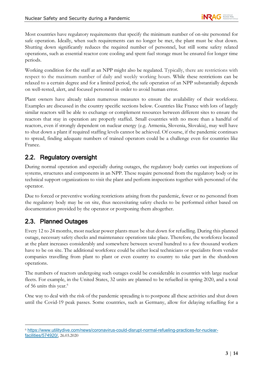Most countries have regulatory requirements that specify the minimum number of on-site personnel for safe operation. Ideally, when such requirements can no longer be met, the plant must be shut down. Shutting down significantly reduces the required number of personnel, but still some safety related operations, such as essential reactor core cooling and spent fuel storage must be ensured for longer time periods.

Working condition for the staff at an NPP might also be regulated. Typically, there are restrictions with respect to the maximum number of daily and weekly working hours. While these restrictions can be relaxed to a certain degree and for a limited period, the safe operation of an NPP substantially depends on well-rested, alert, and focused personnel in order to avoid human error.

Plant owners have already taken numerous measures to ensure the availability of their workforce. Examples are discussed in the country specific sections below. Countries like France with lots of largely similar reactors will be able to exchange or complement resources between different sites to ensure the reactors that stay in operation are properly staffed. Small countries with no more than a handful of reactors, even if strongly dependent on nuclear energy (e.g. Armenia, Slovenia, Slovakia), may well have to shut down a plant if required staffing levels cannot be achieved. Of course, if the pandemic continues to spread, finding adequate numbers of trained operators could be a challenge even for countries like France.

#### 2.2. Regulatory oversight

During normal operation and especially during outages, the regulatory body carries out inspections of systems, structures and components in an NPP. These require personnel from the regulatory body or its technical support organizations to visit the plant and perform inspections together with personnel of the operator.

Due to forced or preventive working restrictions arising from the pandemic, fewer or no personnel from the regulatory body may be on site, thus necessitating safety checks to be performed either based on documentation provided by the operator or postponing them altogether.

#### 2.3. Planned Outages

Every 12 to 24 months, most nuclear power plants must be shut down for refuelling. During this planned outage, necessary safety checks and maintenance operations take place. Therefore, the workforce located at the plant increases considerably and somewhere between several hundred to a few thousand workers have to be on site. The additional workforce could be either local technicians or specialists from vendor companies travelling from plant to plant or even country to country to take part in the shutdown operations.

The numbers of reactors undergoing such outages could be considerable in countries with large nuclear fleets. For example, in the United States, 32 units are planned to be refuelled in spring 2020, and a total of 5[6](#page-4-0) units this year.<sup>6</sup>

One way to deal with the risk of the pandemic spreading is to postpone all these activities and shut down until the Covid-19 peak passes. Some countries, such as Germany, allow for delaying refuelling for a

<span id="page-4-0"></span><sup>6</sup> [https://www.utilitydive.com/news/coronavirus-could-disrupt-normal-refueling-practices-for-nuclear](https://www.utilitydive.com/news/coronavirus-could-disrupt-normal-refueling-practices-for-nuclear-facilities/574920/)[facilities/574920/](https://www.utilitydive.com/news/coronavirus-could-disrupt-normal-refueling-practices-for-nuclear-facilities/574920/), 26.03.2020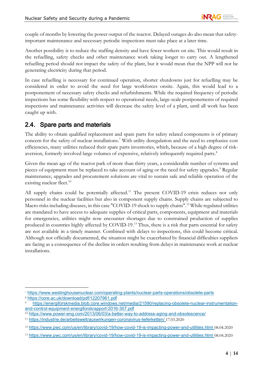couple of months by lowering the power output of the reactor. Delayed outages do also mean that safetyimportant maintenance and necessary periodic inspections must take place at a later time.

Another possibility is to reduce the staffing density and have fewer workers on site. This would result in the refuelling, safety checks and other maintenance work taking longer to carry out. A lengthened refuelling period should not impact the safety of the plant, but it would mean that the NPP will not be generating electricity during that period.

In case refuelling is necessary for continued operation, shorter shutdowns just for refuelling may be considered in order to avoid the need for large workforces onsite. Again, this would lead to a postponement of necessary safety checks and refurbishments. While the required frequency of periodic inspections has some flexibility with respect to operational needs, large-scale postponements of required inspections and maintenance activities will decrease the safety level of a plant, until all work has been caught up with.

#### 2.4. Spare parts and materials

The ability to obtain qualified replacement and spare parts for safety related components is of primary concern for the safety of nuclear installations.<sup>[7](#page-5-0)</sup> With utility deregulation and the need to emphasize cost efficiencies, many utilities reduced their spare parts inventories, which, because of a high degree of risk-aversion, formerly involved large volumes of expensive, relatively infrequently required parts.<sup>[8](#page-5-1)</sup>

Given the mean age of the reactor park of more than thirty years, a considerable number of systems and pieces of equipment must be replaced to take account of aging or the need for safety upgrades.<sup>[9](#page-5-2)</sup> Regular maintenance, upgrades and procurement solutions are vital to sustain safe and reliable operation of the existing nuclear fleet.<sup>[10](#page-5-3)</sup>

All supply chains could be potentially affected.<sup>[11](#page-5-4)</sup> The present COVID-19 crisis reduces not only personnel in the nuclear facilities but also in component supply chains. Supply chains are subjected to Macro risks including diseases, in this case "COVID-19 shock to supply chains".<sup>[12](#page-5-5)</sup> While regulated utilities are mandated to have access to adequate supplies of critical parts, components, equipment and materials for emergencies, utilities might now encounter shortages due to constrained production of supplies produced in countries highly affected by COVID-19.<sup>[13](#page-5-6)</sup> Thus, there is a risk that parts essential for safety are not available in a timely manner. Combined with delays to inspections, this could become critical. Although not officially documented, the situation might be exacerbated by financial difficulties suppliers are facing as a consequence of the decline in orders resulting from delays in maintenance work at nuclear installations.

<span id="page-5-0"></span><sup>7</sup> <https://www.westinghousenuclear.com/operating-plants/nuclear-parts-operations/obsolete-parts>

<sup>8</sup> <https://core.ac.uk/download/pdf/12207961.pdf>

<span id="page-5-2"></span><span id="page-5-1"></span>[https://energiforskmedia.blob.core.windows.net/media/21590/replacing-obsolete-nuclear-instrumentation](https://energiforskmedia.blob.core.windows.net/media/21590/replacing-obsolete-nuclear-instrumentation-and-control-equipment-energiforskrapport-2016-307.pdf)[and-control-equipment-energiforskrapport-2016-307.pdf](https://energiforskmedia.blob.core.windows.net/media/21590/replacing-obsolete-nuclear-instrumentation-and-control-equipment-energiforskrapport-2016-307.pdf)

<span id="page-5-3"></span><sup>10</sup> <https://www.power-eng.com/2013/06/03/a-better-way-to-address-aging-and-obsolescence/>

<span id="page-5-4"></span><sup>11</sup> <https://industrie.de/arbeitswelt/auswirkungen-coronavirus-lieferketten/> 17.03.2020

<span id="page-5-5"></span><sup>12</sup> <https://www.pwc.com/us/en/library/covid-19/how-covid-19-is-impacting-power-and-utilities.html> 08.04.2020

<span id="page-5-6"></span><sup>13</sup> <https://www.pwc.com/us/en/library/covid-19/how-covid-19-is-impacting-power-and-utilities.html> 08.04.2020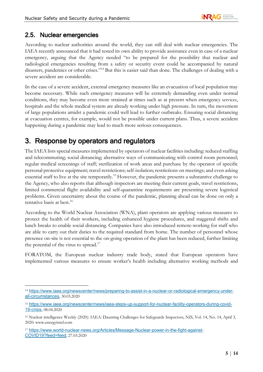#### 2.5. Nuclear emergencies

According to nuclear authorities around the world, they can still deal with nuclear emergencies. The IAEA recently announced that it had tested its own ability to provide assistance even in case of a nuclear emergency, arguing that the Agency needed "to be prepared for the possibility that nuclear and radiological emergencies resulting from a safety or security event could be accompanied by natural disasters, pandemics or other crises."[14](#page-6-0) But this is easier said than done. The challenges of dealing with a severe accident are considerable.

In the case of a severe accident, external emergency measures like an evacuation of local population may become necessary. While such emergency measures will be extremely demanding even under normal conditions, they may become even more strained at times such as at present when emergency services, hospitals and the whole medical system are already working under high pressure. In turn, the movement of large populations amidst a pandemic could well lead to further outbreaks. Ensuring social distancing at evacuation centres, for example, would not be possible under current plans. Thus, a severe accident happening during a pandemic may lead to much more serious consequences.

## 3. Response by operators and regulators

The IAEA lists special measures implemented by operators of nuclear facilities including: reduced staffing and telecommuting; social distancing; alternative ways of communicating with control room personnel; regular medical screenings of staff; sterilization of work areas and purchase by the operator of specific personal protective equipment; travel restrictions; self-isolation; restrictions on meetings; and even asking essential staff to live at the site temporarily[.15](#page-6-1) However, the pandemic presents a substantive challenge to the Agency, who also reports that although inspectors are meeting their current goals, travel restrictions, limited commercial flight availability and self-quarantine requirements are presenting severe logistical problems. Given uncertainty about the course of the pandemic, planning ahead can be done on only a tentative basis at best.<sup>16</sup>

According to the World Nuclear Association (WNA), plant operators are applying various measures to protect the health of their workers, including enhanced hygiene procedures, and staggered shifts and lunch breaks to enable social distancing. Companies have also introduced remote-working for staff who are able to carry out their duties to the required standard from home. The number of personnel whose presence on-site is not essential to the on-going operation of the plant has been reduced, further limiting the potential of the virus to spread.<sup>17</sup>

FORATOM, the European nuclear industry trade body, stated that European operators have implemented various measures to ensure worker's health including alternative working methods and

<span id="page-6-0"></span><sup>14</sup> [https://www.iaea.org/newscenter/news/preparing-to-assist-in-a-nuclear-or-radiological-emergency-under](https://www.iaea.org/newscenter/news/preparing-to-assist-in-a-nuclear-or-radiological-emergency-under-all-circumstances)[all-circumstances](https://www.iaea.org/newscenter/news/preparing-to-assist-in-a-nuclear-or-radiological-emergency-under-all-circumstances), 30.03.2020

<span id="page-6-1"></span><sup>15</sup> [https://www.iaea.org/newscenter/news/iaea-steps-up-support-for-nuclear-facility-operators-during-covid-](https://www.iaea.org/newscenter/news/iaea-steps-up-support-for-nuclear-facility-operators-during-covid-19-crisis)[19-crisis](https://www.iaea.org/newscenter/news/iaea-steps-up-support-for-nuclear-facility-operators-during-covid-19-crisis), 08.04.2020

<span id="page-6-2"></span><sup>16</sup> Nuclear intelligence Weekly (2020): IAEA: Daunting Challenges for Safeguards Inspectors, NIS, Vol. 14, No. 14, April 3, 2020: www.energyintel.com

<span id="page-6-3"></span><sup>17</sup> [https://www.world-nuclear-news.org/Articles/Message-Nuclear-power-in-the-fight-against-](https://www.world-nuclear-news.org/Articles/Message-Nuclear-power-in-the-fight-against-COVID19?feed=feed)[COVID19?feed=feed](https://www.world-nuclear-news.org/Articles/Message-Nuclear-power-in-the-fight-against-COVID19?feed=feed), 27.03.2020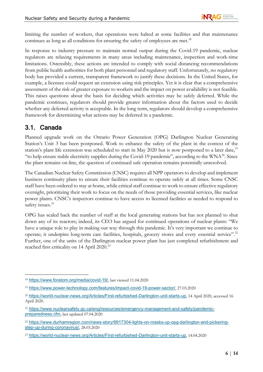limiting the number of workers, that operations were halted at some facilities and that maintenance continues as long as all conditions for ensuring the safety of employees are met.<sup>[18](#page-7-0)</sup>

In response to industry pressure to maintain normal output during the Covid-19 pandemic, nuclear regulators are relaxing requirements in many areas including maintenance, inspection and work-time limitations. Ostensibly, these actions are intended to comply with social distancing recommendations from public health authorities for both plant personnel and regulatory staff. Unfortunately, no regulatory body has provided a current, transparent framework to justify these decisions. In the United States, for example, a licensee could request an extension using risk principles. Yet it is clear that a comprehensive assessment of the risk of greater exposure to workers and the impact on power availability is not feasible. This raises questions about the basis for deciding which activities may be safely deferred. While the pandemic continues, regulators should provide greater information about the factors used to decide whether any deferred activity is acceptable. In the long term, regulators should develop a comprehensive framework for determining what actions may be deferred in a pandemic.

#### 3.1. Canada

Planned upgrade work on the Ontario Power Generation (OPG) Darlington Nuclear Generating Station's Unit 3 has been postponed. Work to enhance the safety of the plant in the context of the station's plant life extension was scheduled to start in May 2020 but is now postponed to a later date,<sup>[19](#page-7-1)</sup> "to help ensure stable electricity supplies during the Covid-19 pandemic", according to the WNA $^{20}$  $^{20}$  $^{20}$ . Since the plant remains on-line, the question of continued safe operation remains potentially unresolved.

The Canadian Nuclear Safety Commission (CNSC) requires all NPP operators to develop and implement business continuity plans to ensure their facilities continue to operate safely at all times. Some CNSC staff have been ordered to stay at home, while critical staff continue to work to ensure effective regulatory oversight, prioritizing their work to focus on the needs of those providing essential services, like nuclear power plants. CNSC's inspectors continue to have access to licensed facilities as needed to respond to safety issues.<sup>[21](#page-7-3)</sup>

OPG has scaled back the number of staff at the local generating stations but has not planned to shut down any of its reactors; indeed, its CEO has argued for continued operations of nuclear plants: "We have a unique role to play in making our way through this pandemic. It's very important we continue to operate; it underpins long-term care facilities, hospitals, grocery stores and every essential service".[22](#page-7-4) Further, one of the units of the Darlington nuclear power plant has just completed refurbishment and reached first criticality on 14 April 2020.<sup>[23](#page-7-5)</sup>

<span id="page-7-0"></span><sup>18</sup> <https://www.foratom.org/media/covid-19/>, last viewed 11.04.2020

<span id="page-7-1"></span><sup>19</sup> <https://www.power-technology.com/features/impact-covid-19-power-sector/>, 27.03.2020

<span id="page-7-2"></span><sup>&</sup>lt;sup>20</sup> <https://world-nuclear-news.org/Articles/First-refurbished-Darlington-unit-starts-up>, 14 April 2020, accessed 16 April 2020.

<span id="page-7-3"></span><sup>21</sup> [https://www.nuclearsafety.gc.ca/eng/resources/emergency-management-and-safety/pandemic](https://www.nuclearsafety.gc.ca/eng/resources/emergency-management-and-safety/pandemic-preparedness.cfm)[preparedness.cfm](https://www.nuclearsafety.gc.ca/eng/resources/emergency-management-and-safety/pandemic-preparedness.cfm), last updated 07.04.2020

<span id="page-7-4"></span><sup>22</sup> [https://www.durhamregion.com/news-story/9917304-lights-on-masks-up-opg-darlington-and-pickering](https://www.durhamregion.com/news-story/9917304-lights-on-masks-up-opg-darlington-and-pickering-step-up-during-coronavirus/)[step-up-during-coronavirus/](https://www.durhamregion.com/news-story/9917304-lights-on-masks-up-opg-darlington-and-pickering-step-up-during-coronavirus/), 28.03.2020

<span id="page-7-5"></span><sup>23</sup> <https://world-nuclear-news.org/Articles/First-refurbished-Darlington-unit-starts-up>, 14.04.2020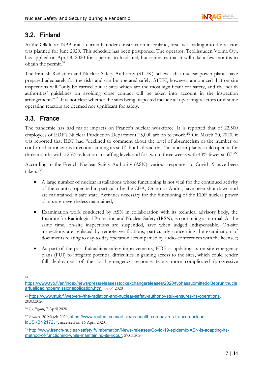#### 3.2. Finland

At the Olkiluoto NPP unit 3 currently under construction in Finland, first fuel loading into the reactor was planned for June 2020. This schedule has been postponed. The operator, Teollisuuden Voima Oyj, has applied on April 8, 2020 for a permit to load fuel, but estimates that it will take a few months to obtain the permit.<sup>24</sup>

The Finnish Radiation and Nuclear Safety Authority (STUK) believes that nuclear power plants have prepared adequately for the risks and can be operated safely. STUK, however, announced that on-site inspections will "only be carried out at sites which are the most significant for safety, and the health authorities' guidelines on avoiding close contact will be taken into account in the inspection arrangements".<sup>[25](#page-8-1)</sup> It is not clear whether the sites being inspected include all operating reactors or if some operating reactors are deemed not significant for safety.

#### 3.3. France

The pandemic has had major impacts on France's nuclear workforce. It is reported that of 22,500 employees of EDF's Nuclear Production Department 15,000 are on telework.[26](#page-8-2) On March 20, 2020, it was reported that EDF had "declined to comment about the level of absenteeism or the number of confirmed coronavirus infections among its staff" but had said that "its nuclear plants could operate for three months with a 25% reduction in staffing levels and for two to three weeks with 40% fewer staff."<sup>[27](#page-8-3)</sup>

According to the French Nuclear Safety Authority (ASN), various responses to Covid-19 have been taken: [28](#page-8-4)

- A large number of nuclear installations whose functioning is not vital for the continued activity of the country, operated in particular by the CEA, Orano or Andra, have been shut down and are maintained in safe state. Activities necessary for the functioning of the EDF nuclear power plants are nevertheless maintained;
- Examination work conducted by ASN in collaboration with its technical advisory body, the Institute for Radiological Protection and Nuclear Safety (IRSN), is continuing as normal. At the same time, on-site inspections are suspended, save when judged indispensable. On-site inspections are replaced by remote verifications, particularly concerning the examination of documents relating to day-to-day operation accompanied by audio-conferences with the licensee;
- As part of the post-Fukushima safety improvements, EDF is updating its on-site emergency plans (PUI) to integrate potential difficulties in gaining access to the sites, which could render full deployment of the local emergency response teams more complicated (progressive

24

<span id="page-8-2"></span><sup>26</sup> *Le Figaro*, 7 April 2020

<span id="page-8-0"></span>[https://www.tvo.fi/en/index/news/pressreleasesstockexchangereleases/2020/tvohassubmittedol3eprunitnucle](https://www.tvo.fi/en/index/news/pressreleasesstockexchangereleases/2020/tvohassubmittedol3eprunitnuclearfuelloadingpermissionapplication.html) [arfuelloadingpermissionapplication.html](https://www.tvo.fi/en/index/news/pressreleasesstockexchangereleases/2020/tvohassubmittedol3eprunitnuclearfuelloadingpermissionapplication.html), 08.04.2020

<span id="page-8-1"></span><sup>25</sup> <https://www.stuk.fi/web/en/-/the-radiation-and-nuclear-safety-authority-stuk-ensures-its-operations>, 20.03.2020

<span id="page-8-3"></span><sup>&</sup>lt;sup>27</sup> Reuters, 20 March 2020, [https://www.reuters.com/article/us-health-coronavirus-france-nuclear](https://www.reuters.com/article/us-health-coronavirus-france-nuclear-idUSKBN2172J1)[idUSKBN2172J1](https://www.reuters.com/article/us-health-coronavirus-france-nuclear-idUSKBN2172J1), accessed on 16 April 2020.

<span id="page-8-4"></span><sup>28</sup> [http://www.french-nuclear-safety.fr/Information/News-releases/Covid-19-epidemic-ASN-is-adapting-its](http://www.french-nuclear-safety.fr/Information/News-releases/Covid-19-epidemic-ASN-is-adapting-its-method-of-functioning-while-maintaining-its-rigour)[method-of-functioning-while-maintaining-its-rigour](http://www.french-nuclear-safety.fr/Information/News-releases/Covid-19-epidemic-ASN-is-adapting-its-method-of-functioning-while-maintaining-its-rigour), 27.03.2020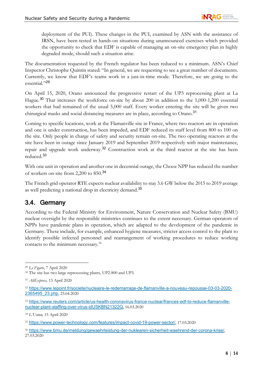deployment of the PUI). These changes in the PUI, examined by ASN with the assistance of IRSN, have been tested in hands-on situations during unannounced exercises which provided the opportunity to check that EDF is capable of managing an on-site emergency plan in highly degraded mode, should such a situation arise.

The documentation requested by the French regulator has been reduced to a minimum. ASN's Chief Inspector Christophe Quintin stated: "In general, we are requesting to see a great number of documents. Currently, we know that EDF's teams work in a just-in-time mode. Therefore, we are going to the essential."[29](#page-9-0)

On April 15, 2020, Orano announced the progressive restart of the UP3 reprocessing plant at La Hague.[30](#page-9-1) That increases the workforce on-site by about 200 in addition to the 1,000-1,200 essential workers that had remained of the usual 5,000 staff. Every worker entering the site will be given two chirurgical masks and social distancing measures are in place, according to Orano.[31](#page-9-2)

Coming to specific locations, work at the Flamanville site in France, where two reactors are in operation and one is under construction, has been impeded, and EDF reduced its staff level from 800 to 100 on the site. Only people in charge of safety and security remain on-site. The two operating reactors at the site have been in outage since January 2019 and September 2019 respectively with major maintenance, repair and upgrade work underway.[32](#page-9-3) Construction work at the third reactor at the site has been reduced. [33](#page-9-4)

With one unit in operation and another one in decennial outage, the Chooz NPP has reduced the number of workers on-site from 2,200 to 850.[34](#page-9-5)

The French grid operator RTE expects nuclear availability to stay 3.6 GW below the 2015 to 2019 average as well predicting a national drop in electricity demand.<sup>[35](#page-9-6)</sup>

#### 3.4. Germany

According to the Federal Ministry for Environment, Nature Conservation and Nuclear Safety (BMU) nuclear oversight by the responsible ministries continues to the extent necessary. German operators of NPPs have pandemic plans in operation, which are adapted to the development of the pandemic in Germany. These include, for example, enhanced hygiene measures, stricter access control to the plant to identify possible infected personnel and rearrangement of working procedures to reduce working contacts to the minimum necessary.<sup>36</sup>

<span id="page-9-0"></span><sup>29</sup> *Le Figaro*, 7 April 2020

<span id="page-9-1"></span><sup>30</sup> The site has two large reprocessing plants, UP2-800 and UP3.

<span id="page-9-2"></span><sup>31</sup> *AliExpress,* 13 April 2020

<span id="page-9-3"></span><sup>32</sup> [https://www.lepoint.fr/societe/nucleaire-le-redemarrage-de-flamanville-a-nouveau-repousse-03-03-2020-](https://www.lepoint.fr/societe/nucleaire-le-redemarrage-de-flamanville-a-nouveau-repousse-03-03-2020-2365495_23.php) [2365495\\_23.php](https://www.lepoint.fr/societe/nucleaire-le-redemarrage-de-flamanville-a-nouveau-repousse-03-03-2020-2365495_23.php), 23.04.2020

<span id="page-9-4"></span><sup>33</sup> [https://www.reuters.com/article/us-health-coronavirus-france-nuclear/frances-edf-to-reduce-flamanville](https://www.reuters.com/article/us-health-coronavirus-france-nuclear/frances-edf-to-reduce-flamanville-nuclear-plant-staffing-over-virus-idUSKBN21322Q)[nuclear-plant-staffing-over-virus-idUSKBN21322Q](https://www.reuters.com/article/us-health-coronavirus-france-nuclear/frances-edf-to-reduce-flamanville-nuclear-plant-staffing-over-virus-idUSKBN21322Q), 16.03.2020

<span id="page-9-5"></span><sup>34</sup> *L'Union,* 15 April 2020

<span id="page-9-6"></span><sup>35</sup> <https://www.power-technology.com/features/impact-covid-19-power-sector/>, 17.03.2020

<span id="page-9-7"></span><sup>36</sup> <https://www.bmu.de/meldung/gewaehrleistung-der-nuklearen-sicherheit-waehrend-der-corona-krise/>, 27.03.2020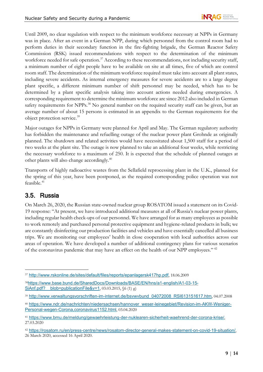Until 2009, no clear regulation with respect to the minimum workforce necessary at NPPs in Germany was in place. After an event in a German NPP, during which personnel from the control room had to perform duties in their secondary function in the fire-fighting brigade, the German Reactor Safety Commission (RSK) issued recommendations with respect to the determination of the minimum workforce needed for safe operation.<sup>[37](#page-10-0)</sup> According to these recommendations, not including security staff, a minimum number of eight people have to be available on site at all times, five of which are control room staff. The determination of the minimum workforce required must take into account all plant states, including severe accidents. As internal emergency measures for severe accidents are to a large degree plant specific, a different minimum number of shift personnel may be needed, which has to be determined by a plant specific analysis taking into account actions needed during emergencies. A corresponding requirement to determine the minimum workforce are since 2012 also included in German safety requirements for NPPs.<sup>[38](#page-10-1)</sup> No general number on the required security staff can be given, but an average number of about 15 persons is estimated in an appendix to the German requirements for the object protection service.[39](#page-10-2)

Major outages for NPPs in Germany were planned for April and May. The German regulatory authority has forbidden the maintenance and refuelling outage of the nuclear power plant Grohnde as originally planned. The shutdown and related activities would have necessitated about 1,500 staff for a period of two weeks at the plant site. The outage is now planned to take an additional four weeks, while restricting the necessary workforce to a maximum of 250. It is expected that the schedule of planned outages at other plants will also change accordingly.[40](#page-10-3)

Transports of highly radioactive wastes from the Sellafield reprocessing plant in the U.K., planned for the spring of this year, have been postponed, as the required corresponding police operation was not feasible. [41](#page-10-4)

#### 3.5. Russia

On March 26, 2020, the Russian state-owned nuclear group ROSATOM issued a statement on its Covid-19 response: "At present, we have introduced additional measures at all of Russia's nuclear power plants, including regular health check-ups of our personnel. We have arranged for as many employees as possible to work remotely and purchased personal protective equipment and hygiene-related products in bulk; we are constantly disinfecting our production facilities and vehicles and have essentially cancelled all business trips. We are monitoring our employees' health in close cooperation with local authorities across our areas of operation. We have developed a number of additional contingency plans for various scenarios of the coronavirus pandemic that may have an effect on the health of our NPP employees." [42](#page-10-5)

<span id="page-10-0"></span><sup>37</sup> <http://www.rskonline.de/sites/default/files/reports/epanlagersk417hp.pdf>, 18.06.2009

<span id="page-10-1"></span><sup>38</sup>[https://www.base.bund.de/SharedDocs/Downloads/BASE/EN/hns/a1-english/A1-03-15-](https://www.base.bund.de/SharedDocs/Downloads/BASE/EN/hns/a1-english/A1-03-15-SiAnf.pdf?__blob=publicationFile&v=1) SiAnf.pdf? blob=publicationFile&v=1, 03.03.2015,  $(6 (1) g)$ 

<span id="page-10-2"></span><sup>39</sup> [http://www.verwaltungsvorschriften-im-internet.de/bsvwvbund\\_04072008\\_RSI613151617.htm](http://www.verwaltungsvorschriften-im-internet.de/bsvwvbund_04072008_RSI613151617.htm), 04.07.2008

<span id="page-10-3"></span><sup>40</sup> [https://www.ndr.de/nachrichten/niedersachsen/hannover\\_weser-leinegebiet/Revision-im-AKW-Weniger-](https://www.ndr.de/nachrichten/niedersachsen/hannover_weser-leinegebiet/Revision-im-AKW-Weniger-Personal-wegen-Corona,coronavirus1152.html)[Personal-wegen-Corona,coronavirus1152.html](https://www.ndr.de/nachrichten/niedersachsen/hannover_weser-leinegebiet/Revision-im-AKW-Weniger-Personal-wegen-Corona,coronavirus1152.html), 03.04.2020

<span id="page-10-4"></span><sup>41</sup> <https://www.bmu.de/meldung/gewaehrleistung-der-nuklearen-sicherheit-waehrend-der-corona-krise/>, 27.03.2020

<span id="page-10-5"></span><sup>42</sup> <https://rosatom.ru/en/press-centre/news/rosatom-director-general-makes-statement-on-covid-19-situation/>, 26 March 2020, accessed 16 April 2020.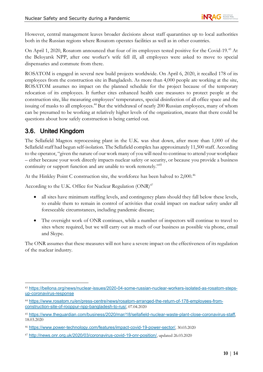However, central management leaves broader decisions about staff quarantines up to local authorities both in the Russian regions where Rosatom operates facilities as well as in other countries.

On April 1, 2020, Rosatom announced that four of its employees tested positive for the Covid-19.<sup>[43](#page-11-0)</sup> At the Beloyarsk NPP, after one worker's wife fell ill, all employees were asked to move to special dispensaries and commute from there.

ROSATOM is engaged in several new build projects worldwide. On April 6, 2020, it recalled 178 of its employees from the construction site in Bangladesh. As more than 4,000 people are working at the site, ROSATOM assumes no impact on the planned schedule for the project because of the temporary relocation of its employees. It further cites enhanced health care measures to protect people at the construction site, like measuring employees' temperatures, special disinfection of all office space and the issuing of masks to all employees.<sup>44</sup> But the withdrawal of nearly 200 Russian employees, many of whom can be presumed to be working at relatively higher levels of the organization, means that there could be questions about how safely construction is being carried out.

#### 3.6. United Kingdom

The Sellafield Magnox reprocessing plant in the U.K. was shut down, after more than 1,000 of the Sellafield staff had begun self-isolation. The Sellafield complex has approximately 11,500 staff. According to the operator, "given the nature of our work many of you will need to continue to attend your workplace – either because your work directly impacts nuclear safety or security, or because you provide a business continuity or support function and are unable to work remotely."[45](#page-11-2)

At the Hinkley Point C construction site, the workforce has been halved to 2,000.<sup>[46](#page-11-3)</sup>

According to the U.K. Office for Nuclear Regulation (ONR)<sup>[47](#page-11-4)</sup>

- all sites have minimum staffing levels, and contingency plans should they fall below these levels, to enable them to remain in control of activities that could impact on nuclear safety under all foreseeable circumstances, including pandemic disease;
- The oversight work of ONR continues, while a number of inspectors will continue to travel to sites where required, but we will carry out as much of our business as possible via phone, email and Skype.

The ONR assumes that these measures will not have a severe impact on the effectiveness of its regulation of the nuclear industry.

<span id="page-11-0"></span><sup>43</sup> [https://bellona.org/news/nuclear-issues/2020-04-some-russian-nuclear-workers-isolated-as-rosatom-steps](https://bellona.org/news/nuclear-issues/2020-04-some-russian-nuclear-workers-isolated-as-rosatom-steps-up-coronavirus-response)[up-coronavirus-response](https://bellona.org/news/nuclear-issues/2020-04-some-russian-nuclear-workers-isolated-as-rosatom-steps-up-coronavirus-response)

<span id="page-11-1"></span><sup>44</sup> [https://www.rosatom.ru/en/press-centre/news/rosatom-arranged-the-return-of-178-employees-from](https://www.rosatom.ru/en/press-centre/news/rosatom-arranged-the-return-of-178-employees-from-construction-site-of-rooppur-npp-bangladesh-to-rus/)[construction-site-of-rooppur-npp-bangladesh-to-rus/](https://www.rosatom.ru/en/press-centre/news/rosatom-arranged-the-return-of-178-employees-from-construction-site-of-rooppur-npp-bangladesh-to-rus/), 07.04.2020

<span id="page-11-2"></span><sup>45</sup> <https://www.theguardian.com/business/2020/mar/18/sellafield-nuclear-waste-plant-close-coronavirus-staff>, 18.03.2020

<span id="page-11-3"></span><sup>46</sup> <https://www.power-technology.com/features/impact-covid-19-power-sector/>, 30.03.2020

<span id="page-11-4"></span><sup>47</sup> <http://news.onr.org.uk/2020/03/coronavirus-covid-19-onr-position/>, updated 26.03.2020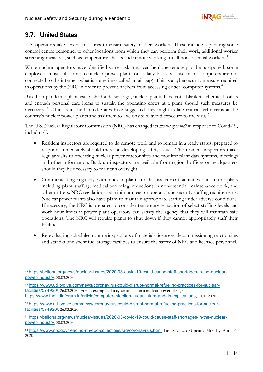#### 3.7. United States

U.S. operators take several measures to ensure safety of their workers. These include separating some control centre personnel to other locations from which they can perform their work, additional worker screening measures, such as temperature checks and remote working for all non-essential workers.<sup>[48](#page-12-0)</sup>

While nuclear operators have identified some tasks that can be done remotely or be postponed, some employees must still come to nuclear power plants on a daily basis because many computers are not connected to the internet (what is sometimes called an air-gap). This is a cybersecurity measure required in operations by the NRC in order to prevent hackers from accessing critical computer systems.<sup>[49](#page-12-1)</sup>

Based on pandemic plans established a decade ago, nuclear plants have cots, blankets, chemical toilets and enough personal care items to sustain the operating crews at a plant should such measures be necessary[.50](#page-12-2) Officials in the United States have suggested they might isolate critical technicians at the country's nuclear power plants and ask them to live onsite to avoid exposure to the virus.<sup>[51](#page-12-3)</sup>

The U.S. Nuclear Regulatory Commission (NRC) has changed its *modus operandi* in response to Covid-19, including $52$ :

- Resident inspectors are required to do remote work and to remain in a ready status, prepared to respond immediately should there be developing safety issues. The resident inspectors make regular visits to operating nuclear power reactor sites and monitor plant data systems, meetings and other information. Back-up inspectors are available from regional offices or headquarters should they be necessary to maintain oversight.
- Communicating regularly with nuclear plants to discuss current activities and future plans including plant staffing, medical screening, reductions in non-essential maintenance work, and other matters. NRC regulations set minimum reactor operator and security staffing requirements. Nuclear power plants also have plans to maintain appropriate staffing under adverse conditions. If necessary, the NRC is prepared to consider temporary relaxation of select staffing levels and work hour limits if power plant operators can satisfy the agency that they will maintain safe operations. The NRC will require plants to shut down if they cannot appropriately staff their facilities.
- Re-evaluating scheduled routine inspections of materials licensees, decommissioning reactor sites and stand-alone spent fuel storage facilities to ensure the safety of NRC and licensee personnel.

<span id="page-12-0"></span><sup>48</sup> [https://bellona.org/news/nuclear-issues/2020-03-covid-19-could-cause-staff-shortages-in-the-nuclear](https://bellona.org/news/nuclear-issues/2020-03-covid-19-could-cause-staff-shortages-in-the-nuclear-power-industry)[power-industry](https://bellona.org/news/nuclear-issues/2020-03-covid-19-could-cause-staff-shortages-in-the-nuclear-power-industry), 20.03.2020

<span id="page-12-1"></span><sup>49</sup> [https://www.utilitydive.com/news/coronavirus-could-disrupt-normal-refueling-practices-for-nuclear](https://www.utilitydive.com/news/coronavirus-could-disrupt-normal-refueling-practices-for-nuclear-facilities/574920/)[facilities/574920/](https://www.utilitydive.com/news/coronavirus-could-disrupt-normal-refueling-practices-for-nuclear-facilities/574920/), 26.03.2020; For an example of a cyber attack on a nuclear power plant, see <https://www.theindiaforum.in/article/computer-infection-kudankulam-and-its-implications>, 10.01.2020

<span id="page-12-2"></span><sup>50</sup> [https://www.utilitydive.com/news/coronavirus-could-disrupt-normal-refueling-practices-for-nuclear](https://www.utilitydive.com/news/coronavirus-could-disrupt-normal-refueling-practices-for-nuclear-facilities/574920/)[facilities/574920/](https://www.utilitydive.com/news/coronavirus-could-disrupt-normal-refueling-practices-for-nuclear-facilities/574920/), 26.03.2020

<span id="page-12-3"></span><sup>51</sup> [https://bellona.org/news/nuclear-issues/2020-03-covid-19-could-cause-staff-shortages-in-the-nuclear](https://bellona.org/news/nuclear-issues/2020-03-covid-19-could-cause-staff-shortages-in-the-nuclear-power-industry)[power-industry](https://bellona.org/news/nuclear-issues/2020-03-covid-19-could-cause-staff-shortages-in-the-nuclear-power-industry), 20.03.2020

<span id="page-12-4"></span><sup>52</sup> <https://www.nrc.gov/reading-rm/doc-collections/faq/coronavirus.html>, Last Reviewed/Updated Monday, April 06, 2020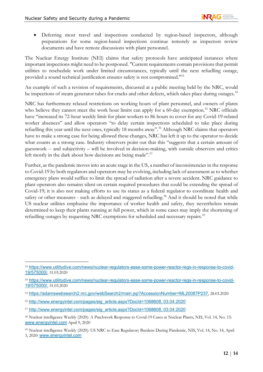• Deferring most travel and inspections conducted by region-based inspectors, although preparations for some region-based inspections continue remotely as inspectors review documents and have remote discussions with plant personnel.

The Nuclear Energy Institute (NEI) claims that safety protocols have anticipated instances where important inspections might need to be postponed. "Current requirements contain provisions that permit utilities to reschedule work under limited circumstances, typically until the next refuelling outage, provided a sound technical justification ensures safety is not compromised."[53](#page-13-0)

An example of such a revision of requirements, discussed at a public meeting held by the NRC, would be inspections of steam generator tubes for cracks and other defects, which takes place during outages.<sup>[54](#page-13-1)</sup>

NRC has furthermore relaxed restrictions on working hours of plant personnel, and owners of plants who believe they cannot meet the work hour limits can apply for a 60-day exemption.<sup>[55](#page-13-2)</sup> NRC officials have "increased its 72-hour weekly limit for plant workers to 86 hours to cover for any Covid-19-related worker absences" and allow operators "to delay certain inspections scheduled to take place during refuelling this year until the next ones, typically 18 months away". [56](#page-13-3) Although NRC claims that operators have to make a strong case for being allowed these changes, NRC has left it up to the operator to decide what counts as a strong case. Industry observers point out that this "suggests that a certain amount of guesswork -- and subjectivity – will be involved in decision-making, with outside observers and critics left mostly in the dark about how decisions are being made".<sup>[57](#page-13-4)</sup>

Further, as the pandemic moves into an acute stage in the US, a number of inconsistencies in the response to Covid-19 by both regulators and operators may be evolving, including lack of assessment as to whether emergency plans would suffice to limit the spread of radiation after a severe accident. NRC guidance to plant operators also remains silent on certain required procedures that could be extending the spread of Covid-19; it is also not making efforts to use its status as a federal regulator to coordinate health and safety or other measures - such as delayed and staggered refuelling.<sup>[58](#page-13-5)</sup> And it should be noted that while US nuclear utilities emphasise the importance of worker health and safety, they nevertheless remain determined to keep their plants running at full power, which in some cases may imply the shortening of refuelling outages by requesting NRC exemptions for scheduled and necessary repairs.<sup>[59](#page-13-6)</sup>

<span id="page-13-0"></span><sup>53</sup> [https://www.utilitydive.com/news/nuclear-regulators-ease-some-power-reactor-regs-in-response-to-covid-](https://www.utilitydive.com/news/nuclear-regulators-ease-some-power-reactor-regs-in-response-to-covid-19/575000/)[19/575000/](https://www.utilitydive.com/news/nuclear-regulators-ease-some-power-reactor-regs-in-response-to-covid-19/575000/), 31.03.2020

<span id="page-13-1"></span><sup>54</sup> [https://www.utilitydive.com/news/nuclear-regulators-ease-some-power-reactor-regs-in-response-to-covid-](https://www.utilitydive.com/news/nuclear-regulators-ease-some-power-reactor-regs-in-response-to-covid-19/575000/)[19/575000/](https://www.utilitydive.com/news/nuclear-regulators-ease-some-power-reactor-regs-in-response-to-covid-19/575000/), 31.03.2020

<span id="page-13-2"></span><sup>55</sup> <https://adamswebsearch2.nrc.gov/webSearch2/main.jsp?AccessionNumber=ML20087P237>, 28.03.2020

<span id="page-13-3"></span><sup>56</sup> [http://www.energyintel.com/pages/eig\\_article.aspx?DocId=1068608,](http://www.energyintel.com/pages/eig_article.aspx?DocId=1068608) 03.04.2020

<span id="page-13-4"></span><sup>57</sup> [http://www.energyintel.com/pages/eig\\_article.aspx?DocId=1068608,](http://www.energyintel.com/pages/eig_article.aspx?DocId=1068608) 03.04.2020

<span id="page-13-5"></span><sup>58</sup> Nuclear intelligence Weekly (2020): A Patchwork Response to Covid-19 Cases at Nuclear Plants, NIS, Vol. 14, No. 15: [www.energyintel.com](http://www.energyintel.com/) April 9, 2020

<span id="page-13-6"></span><sup>59</sup> Nuclear intelligence Weekly (2020): US NRC to Ease Regulatory Burdens During Pandemic, NIS, Vol. 14, No. 14, April 3, 2020: [www.energyintel.com](http://www.energyintel.com/)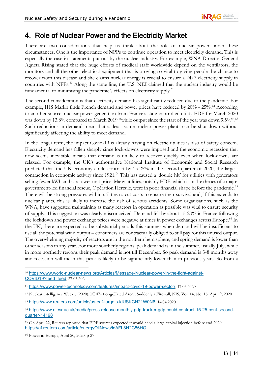# 4. Role of Nuclear Power and the Electricity Market

There are two considerations that help us think about the role of nuclear power under these circumstances. One is the importance of NPPs to continue operation to meet electricity demand. This is especially the case in statements put out by the nuclear industry. For example, WNA Director General Agneta Rising stated that the huge efforts of medical staff worldwide depend on the ventilators, the monitors and all the other electrical equipment that is proving so vital to giving people the chance to recover from this disease and she claims nuclear energy is crucial to ensure a 24/7 electricity supply in countries with NPPs.<sup>[60](#page-14-0)</sup> Along the same line, the U.S. NEI claimed that the nuclear industry would be fundamental to minimising the pandemic's effects on electricity supply.<sup>[61](#page-14-1)</sup>

The second consideration is that electricity demand has significantly reduced due to the pandemic. For example, IHS Markit finds French demand and power prices have reduced by 20% - 25%.<sup>[62](#page-14-2)</sup> According to another source, nuclear power generation from France's state-controlled utility EDF for March 2020 was down by 13.8% compared to March 2019 "while output since the start of the year was down 9.5%".<sup>[63](#page-14-3)</sup> Such reductions in demand mean that at least some nuclear power plants can be shut down without significantly affecting the ability to meet demand.

In the longer term, the impact Covid-19 is already having on electric utilities is also of safety concern. Electricity demand has fallen sharply since lock-downs were imposed and the economic recession that now seems inevitable means that demand is unlikely to recover quickly even when lock-downs are relaxed. For example, the UK's authoritative National Institute of Economic and Social Research predicted that the UK economy could contract by 15-25% in the second quarter of 2020, the largest contraction in economic activity since 1921.<sup>[64](#page-14-4)</sup> This has caused a 'double hit' for utilities with generators selling fewer kWh and at a lower unit price. Many utilities, notably EDF, which is in the throes of a major government-led financial rescue, Opération Hercule, were in poor financial shape before the pandemic.<sup>[65](#page-14-5)</sup> There will be strong pressures within utilities to cut costs to ensure their survival and, if this extends to nuclear plants, this is likely to increase the risk of serious accidents. Some organisations, such as the WNA, have suggested maintaining as many reactors in operation as possible was vital to ensure security of supply. This suggestion was clearly misconceived. Demand fell by about 15-20% in France following the lockdown and power exchange prices were negative at times in power exchanges across Europe.<sup>[66](#page-14-6)</sup> In the UK, there are expected to be substantial periods this summer when demand will be insufficient to use all the potential wind output – consumers are contractually obliged to still pay for this unused output. The overwhelming majority of reactors are in the northern hemisphere, and spring demand is lower than other seasons in any year. For more southerly regions, peak demand is in the summer, usually July, while in more northerly regions their peak demand is not till December. So peak demand is 3-8 months away and recession will mean this peak is likely to be significantly lower than in previous years. So from a

<span id="page-14-0"></span><sup>60</sup> [https://www.world-nuclear-news.org/Articles/Message-Nuclear-power-in-the-fight-against-](https://www.world-nuclear-news.org/Articles/Message-Nuclear-power-in-the-fight-against-COVID19?feed=feed)[COVID19?feed=feed](https://www.world-nuclear-news.org/Articles/Message-Nuclear-power-in-the-fight-against-COVID19?feed=feed), 27.03.202

<span id="page-14-1"></span><sup>61</sup> <https://www.power-technology.com/features/impact-covid-19-power-sector/>, 17.03.2020

<span id="page-14-2"></span><sup>62</sup> Nuclear intelligence Weekly (2020): EDF's Long-Hated Arenh Suddenly a Firewall, NIS, Vol. 14, No. 15: April 9, 2020

<span id="page-14-3"></span><sup>63</sup> <https://www.reuters.com/article/us-edf-targets-idUSKCN21W0N6>, 14.04.2020

<span id="page-14-4"></span><sup>64</sup> [https://www.niesr.ac.uk/media/press-release-monthly-gdp-tracker-gdp-could-contract-15-25-cent-second](https://www.niesr.ac.uk/media/press-release-monthly-gdp-tracker-gdp-could-contract-15-25-cent-second-quarter-14198)[quarter-14198](https://www.niesr.ac.uk/media/press-release-monthly-gdp-tracker-gdp-could-contract-15-25-cent-second-quarter-14198)

<span id="page-14-5"></span><sup>65</sup> On April 22, Reuters reported that EDF sources expected it would need a large capital injection before end 2020. <https://af.reuters.com/article/energyOilNews/idAFL8N2C86HQ>

<span id="page-14-6"></span><sup>66</sup> Power in Europe, April 20, 2020, p 27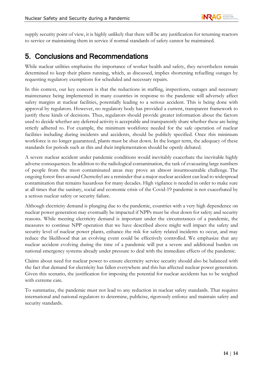supply security point of view, it is highly unlikely that there will be any justification for returning reactors to service or maintaining them in service if normal standards of safety cannot be maintained.

## 5. Conclusions and Recommendations

While nuclear utilities emphasise the importance of worker health and safety, they nevertheless remain determined to keep their plants running, which, as discussed, implies shortening refuelling outages by requesting regulatory exemptions for scheduled and necessary repairs.

In this context, our key concern is that the reductions in staffing, inspections, outages and necessary maintenance being implemented in many countries in response to the pandemic will adversely affect safety margins at nuclear facilities, potentially leading to a serious accident. This is being done with approval by regulators. However, no regulatory body has provided a current, transparent framework to justify these kinds of decisions. Thus, regulators should provide greater information about the factors used to decide whether any deferred activity is acceptable and transparently share whether these are being strictly adhered to. For example, the minimum workforce needed for the safe operation of nuclear facilities including during incidents and accidents, should be publicly specified. Once this minimum workforce is no longer guaranteed, plants must be shut down. In the longer term, the adequacy of these standards for periods such as this and their implementation should be openly debated.

A severe nuclear accident under pandemic conditions would inevitably exacerbate the inevitable highly adverse consequences. In addition to the radiological contamination, the task of evacuating large numbers of people from the most contaminated areas may prove an almost insurmountable challenge. The ongoing forest fires around Chernobyl are a reminder that a major nuclear accident can lead to widespread contamination that remains hazardous for many decades. High vigilance is needed in order to make sure at all times that the sanitary, social and economic crisis of the Covid-19 pandemic is not exacerbated by a serious nuclear safety or security failure.

Although electricity demand is plunging due to the pandemic, countries with a very high dependence on nuclear power generation may eventually be impacted if NPPs must be shut down for safety and security reasons. While meeting electricity demand is important under the circumstances of a pandemic, the measures to continue NPP operation that we have described above might well impact the safety and security level of nuclear power plants, enhance the risk for safety related incidents to occur, and may reduce the likelihood that an evolving event could be effectively controlled. We emphasize that any nuclear accident evolving during the time of a pandemic will put a severe and additional burden on national emergency systems already under pressure to deal with the immediate effects of the pandemic.

Claims about need for nuclear power to ensure electricity service security should also be balanced with the fact that demand for electricity has fallen everywhere and this has affected nuclear power generation. Given this scenario, the justification for imposing the potential for nuclear accidents has to be weighed with extreme care.

To summarize, the pandemic must not lead to any reduction in nuclear safety standards. That requires international and national regulators to determine, publicise, rigorously enforce and maintain safety and security standards.